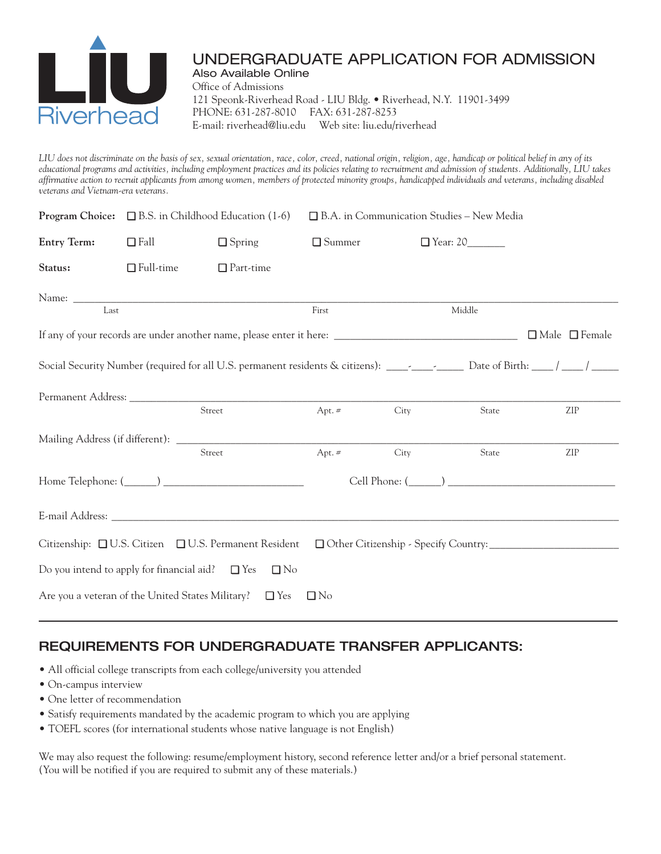

#### UNDERGRADUATE APPLICATION FOR ADMISSION Also Available Online

Office of Admissions 121 Speonk-Riverhead Road - LIU Bldg. • Riverhead, N.Y. 11901-3499 PHONE: 631-287-8010 FAX: 631-287-8253 E-mail: riverhead@liu.edu Web site: liu.edu/riverhead

LIU does not discriminate on the basis of sex, sexual orientation, race, color, creed, national origin, religion, age, handicap or political belief in any of its educational programs and activities, including employment practices and its policies relating to recruitment and admission of students. Additionally, LIU takes affirmative action to recruit applicants from among women, members of protected minority groups, handicapped individuals and veterans, including disabled *veterans and Vietnam-era veterans.*

|                                                         |                  | <b>Program Choice:</b> $\Box$ B.S. in Childhood Education (1-6)                                                                | □ B.A. in Communication Studies - New Media |                 |        |                           |
|---------------------------------------------------------|------------------|--------------------------------------------------------------------------------------------------------------------------------|---------------------------------------------|-----------------|--------|---------------------------|
| <b>Entry Term:</b>                                      | $\Box$ Fall      | $\Box$ Spring                                                                                                                  | $\Box$ Summer                               | $\Box$ Year: 20 |        |                           |
| Status:                                                 | $\Box$ Full-time | $\Box$ Part-time                                                                                                               |                                             |                 |        |                           |
| Last                                                    |                  |                                                                                                                                | First                                       |                 | Middle |                           |
|                                                         |                  |                                                                                                                                |                                             |                 |        | $\Box$ Male $\Box$ Female |
|                                                         |                  | Social Security Number (required for all U.S. permanent residents & citizens): _________________ Date of Birth: _____/ ______/ |                                             |                 |        |                           |
|                                                         |                  | Street                                                                                                                         | Apt. $#$                                    | City            | State  | ZIP                       |
|                                                         |                  | Street                                                                                                                         | Apt. $\#$                                   | City            | State  | ZIP                       |
|                                                         |                  |                                                                                                                                |                                             |                 |        |                           |
|                                                         |                  |                                                                                                                                |                                             |                 |        |                           |
|                                                         |                  | Citizenship: □U.S. Citizen □U.S. Permanent Resident □Other Citizenship - Specify Country:                                      |                                             |                 |        |                           |
| Do you intend to apply for financial aid? $\square$ Yes |                  | $\Box$ No                                                                                                                      |                                             |                 |        |                           |
|                                                         |                  | Are you a veteran of the United States Military? $\square$ Yes                                                                 | $\Box$ No                                   |                 |        |                           |

# **REQUIREMENTS FOR UNDERGRADUATE TRANSFER APPLICANTS:**

- All official college transcripts from each college/university you attended
- On-campus interview
- One letter of recommendation
- Satisfy requirements mandated by the academic program to which you are applying
- TOEFL scores (for international students whose native language is not English)

We may also request the following: resume/employment history, second reference letter and/or a brief personal statement. (You will be notified if you are required to submit any of these materials.)